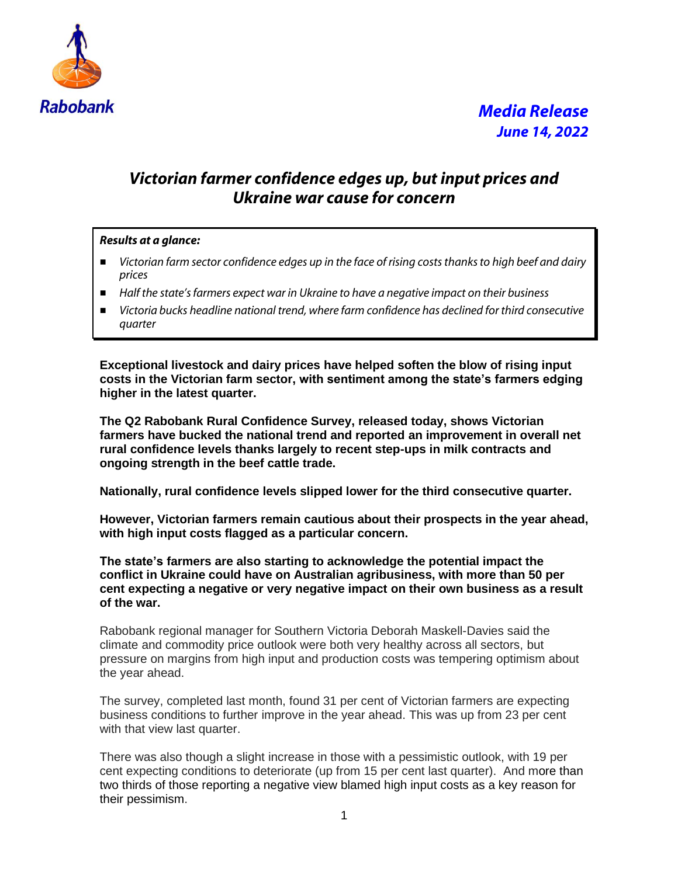

# *Media Release June 14, 2022*

### *Victorian farmer confidence edges up, but input prices and Ukraine war cause for concern*

#### *Results at a glance:*

- *Victorian farm sector confidence edges up in the face of rising costs thanks to high beef and dairy prices*
- *Half the state's farmers expect war in Ukraine to have a negative impact on their business*
- *Victoria bucks headline national trend, where farm confidence has declined for third consecutive quarter*

**Exceptional livestock and dairy prices have helped soften the blow of rising input costs in the Victorian farm sector, with sentiment among the state's farmers edging higher in the latest quarter.**

**The Q2 Rabobank Rural Confidence Survey, released today, shows Victorian farmers have bucked the national trend and reported an improvement in overall net rural confidence levels thanks largely to recent step-ups in milk contracts and ongoing strength in the beef cattle trade.**

**Nationally, rural confidence levels slipped lower for the third consecutive quarter.**

**However, Victorian farmers remain cautious about their prospects in the year ahead, with high input costs flagged as a particular concern.** 

**The state's farmers are also starting to acknowledge the potential impact the conflict in Ukraine could have on Australian agribusiness, with more than 50 per cent expecting a negative or very negative impact on their own business as a result of the war.**

Rabobank regional manager for Southern Victoria Deborah Maskell-Davies said the climate and commodity price outlook were both very healthy across all sectors, but pressure on margins from high input and production costs was tempering optimism about the year ahead.

The survey, completed last month, found 31 per cent of Victorian farmers are expecting business conditions to further improve in the year ahead. This was up from 23 per cent with that view last quarter.

There was also though a slight increase in those with a pessimistic outlook, with 19 per cent expecting conditions to deteriorate (up from 15 per cent last quarter). And more than two thirds of those reporting a negative view blamed high input costs as a key reason for their pessimism.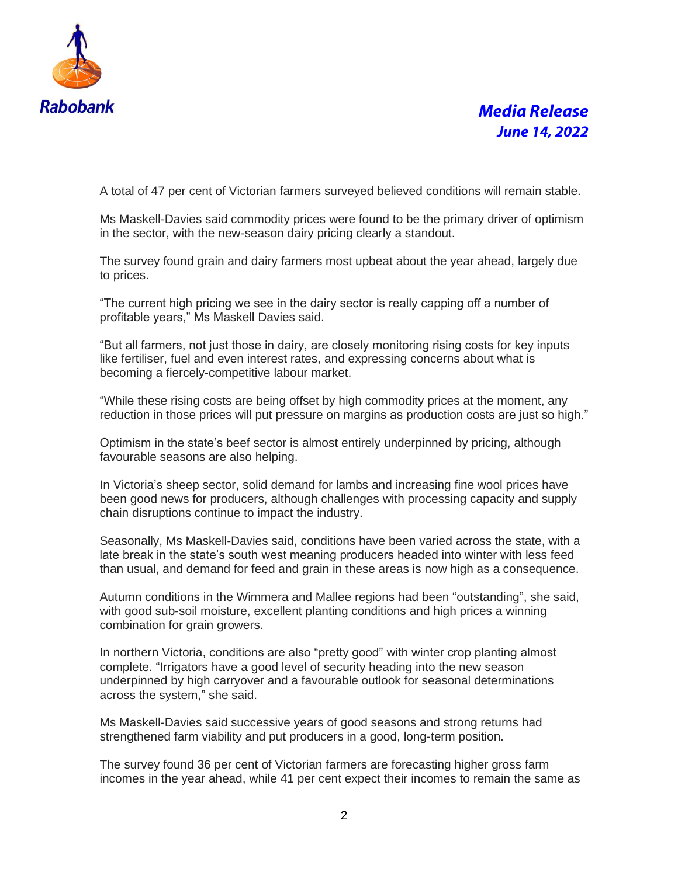

## *Media Release June 14, 2022*

A total of 47 per cent of Victorian farmers surveyed believed conditions will remain stable.

Ms Maskell-Davies said commodity prices were found to be the primary driver of optimism in the sector, with the new-season dairy pricing clearly a standout.

The survey found grain and dairy farmers most upbeat about the year ahead, largely due to prices.

"The current high pricing we see in the dairy sector is really capping off a number of profitable years," Ms Maskell Davies said.

"But all farmers, not just those in dairy, are closely monitoring rising costs for key inputs like fertiliser, fuel and even interest rates, and expressing concerns about what is becoming a fiercely-competitive labour market.

"While these rising costs are being offset by high commodity prices at the moment, any reduction in those prices will put pressure on margins as production costs are just so high."

Optimism in the state's beef sector is almost entirely underpinned by pricing, although favourable seasons are also helping.

In Victoria's sheep sector, solid demand for lambs and increasing fine wool prices have been good news for producers, although challenges with processing capacity and supply chain disruptions continue to impact the industry.

Seasonally, Ms Maskell-Davies said, conditions have been varied across the state, with a late break in the state's south west meaning producers headed into winter with less feed than usual, and demand for feed and grain in these areas is now high as a consequence.

Autumn conditions in the Wimmera and Mallee regions had been "outstanding", she said, with good sub-soil moisture, excellent planting conditions and high prices a winning combination for grain growers.

In northern Victoria, conditions are also "pretty good" with winter crop planting almost complete. "Irrigators have a good level of security heading into the new season underpinned by high carryover and a favourable outlook for seasonal determinations across the system," she said.

Ms Maskell-Davies said successive years of good seasons and strong returns had strengthened farm viability and put producers in a good, long-term position.

The survey found 36 per cent of Victorian farmers are forecasting higher gross farm incomes in the year ahead, while 41 per cent expect their incomes to remain the same as